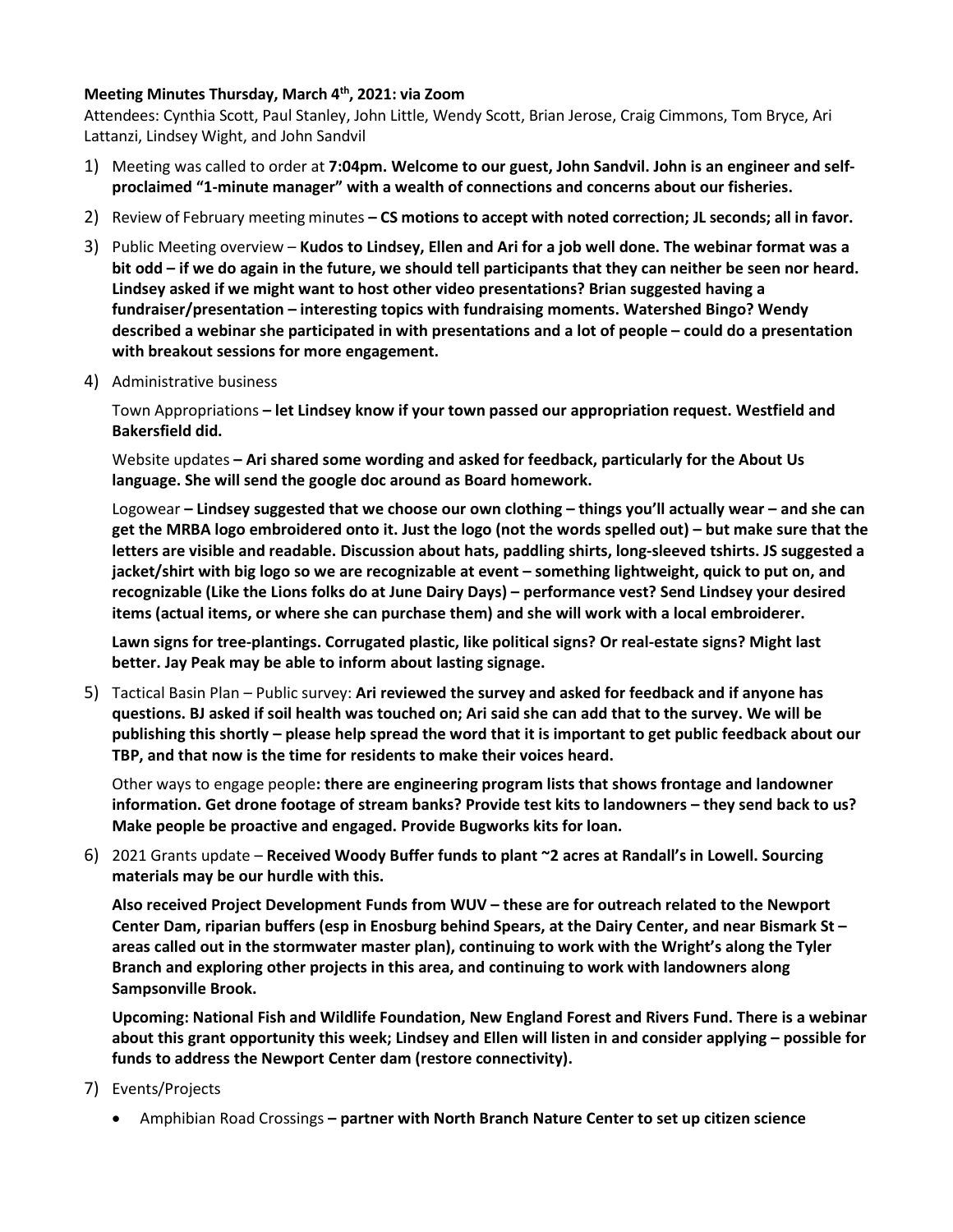## **Meeting Minutes Thursday, March 4th, 2021: via Zoom**

Attendees: Cynthia Scott, Paul Stanley, John Little, Wendy Scott, Brian Jerose, Craig Cimmons, Tom Bryce, Ari Lattanzi, Lindsey Wight, and John Sandvil

- 1) Meeting was called to order at **7:04pm. Welcome to our guest, John Sandvil. John is an engineer and selfproclaimed "1-minute manager" with a wealth of connections and concerns about our fisheries.**
- 2) Review of February meeting minutes **– CS motions to accept with noted correction; JL seconds; all in favor.**
- 3) Public Meeting overview **Kudos to Lindsey, Ellen and Ari for a job well done. The webinar format was a bit odd – if we do again in the future, we should tell participants that they can neither be seen nor heard. Lindsey asked if we might want to host other video presentations? Brian suggested having a fundraiser/presentation – interesting topics with fundraising moments. Watershed Bingo? Wendy described a webinar she participated in with presentations and a lot of people – could do a presentation with breakout sessions for more engagement.**
- 4) Administrative business

Town Appropriations **– let Lindsey know if your town passed our appropriation request. Westfield and Bakersfield did.**

Website updates **– Ari shared some wording and asked for feedback, particularly for the About Us language. She will send the google doc around as Board homework.**

Logowear **– Lindsey suggested that we choose our own clothing – things you'll actually wear – and she can get the MRBA logo embroidered onto it. Just the logo (not the words spelled out) – but make sure that the letters are visible and readable. Discussion about hats, paddling shirts, long-sleeved tshirts. JS suggested a jacket/shirt with big logo so we are recognizable at event – something lightweight, quick to put on, and recognizable (Like the Lions folks do at June Dairy Days) – performance vest? Send Lindsey your desired items (actual items, or where she can purchase them) and she will work with a local embroiderer.**

**Lawn signs for tree-plantings. Corrugated plastic, like political signs? Or real-estate signs? Might last better. Jay Peak may be able to inform about lasting signage.**

5) Tactical Basin Plan – Public survey: **Ari reviewed the survey and asked for feedback and if anyone has questions. BJ asked if soil health was touched on; Ari said she can add that to the survey. We will be publishing this shortly – please help spread the word that it is important to get public feedback about our TBP, and that now is the time for residents to make their voices heard.**

Other ways to engage people**: there are engineering program lists that shows frontage and landowner information. Get drone footage of stream banks? Provide test kits to landowners – they send back to us? Make people be proactive and engaged. Provide Bugworks kits for loan.**

6) 2021 Grants update – **Received Woody Buffer funds to plant ~2 acres at Randall's in Lowell. Sourcing materials may be our hurdle with this.** 

**Also received Project Development Funds from WUV – these are for outreach related to the Newport Center Dam, riparian buffers (esp in Enosburg behind Spears, at the Dairy Center, and near Bismark St – areas called out in the stormwater master plan), continuing to work with the Wright's along the Tyler Branch and exploring other projects in this area, and continuing to work with landowners along Sampsonville Brook.** 

**Upcoming: National Fish and Wildlife Foundation, New England Forest and Rivers Fund. There is a webinar about this grant opportunity this week; Lindsey and Ellen will listen in and consider applying – possible for funds to address the Newport Center dam (restore connectivity).** 

- 7) Events/Projects
	- Amphibian Road Crossings **– partner with North Branch Nature Center to set up citizen science**